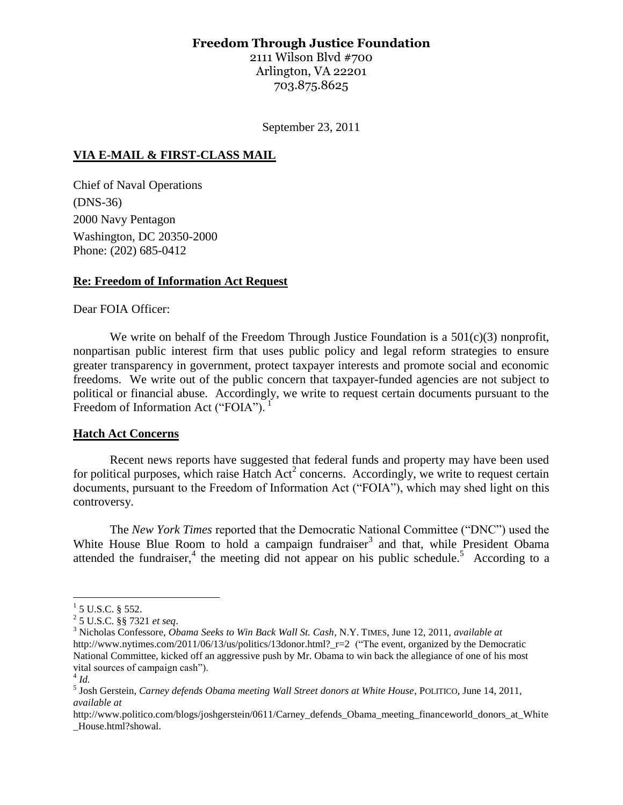# **Freedom Through Justice Foundation**

2111 Wilson Blvd #700 Arlington, VA 22201 703.875.8625

September 23, 2011

#### **VIA E-MAIL & FIRST-CLASS MAIL**

Chief of Naval Operations (DNS-36) 2000 Navy Pentagon Washington, DC 20350-2000 Phone: (202) 685-0412

#### **Re: Freedom of Information Act Request**

#### Dear FOIA Officer:

We write on behalf of the Freedom Through Justice Foundation is a 501(c)(3) nonprofit, nonpartisan public interest firm that uses public policy and legal reform strategies to ensure greater transparency in government, protect taxpayer interests and promote social and economic freedoms. We write out of the public concern that taxpayer-funded agencies are not subject to political or financial abuse. Accordingly, we write to request certain documents pursuant to the Freedom of Information Act ("FOIA").

#### **Hatch Act Concerns**

Recent news reports have suggested that federal funds and property may have been used for political purposes, which raise Hatch Act<sup>2</sup> concerns. Accordingly, we write to request certain documents, pursuant to the Freedom of Information Act ("FOIA"), which may shed light on this controversy.

The *New York Times* reported that the Democratic National Committee ("DNC") used the White House Blue Room to hold a campaign fundraiser<sup>3</sup> and that, while President Obama attended the fundraiser,<sup>4</sup> the meeting did not appear on his public schedule.<sup>5</sup> According to a

 $\overline{a}$ 

 $1$  5 U.S.C. § 552.

<sup>2</sup> 5 U.S.C. §§ 7321 *et seq*.

<sup>3</sup> Nicholas Confessore, *Obama Seeks to Win Back Wall St. Cash*, N.Y. TIMES, June 12, 2011, *available at* http://www.nytimes.com/2011/06/13/us/politics/13donor.html? r=2 ("The event, organized by the Democratic National Committee, kicked off an aggressive push by Mr. Obama to win back the allegiance of one of his most vital sources of campaign cash").

<sup>4</sup> *Id.*

<sup>5</sup> Josh Gerstein, *Carney defends Obama meeting Wall Street donors at White House*, POLITICO, June 14, 2011, *available at*

http://www.politico.com/blogs/joshgerstein/0611/Carney defends Obama meeting financeworld donors at White \_House.html?showal.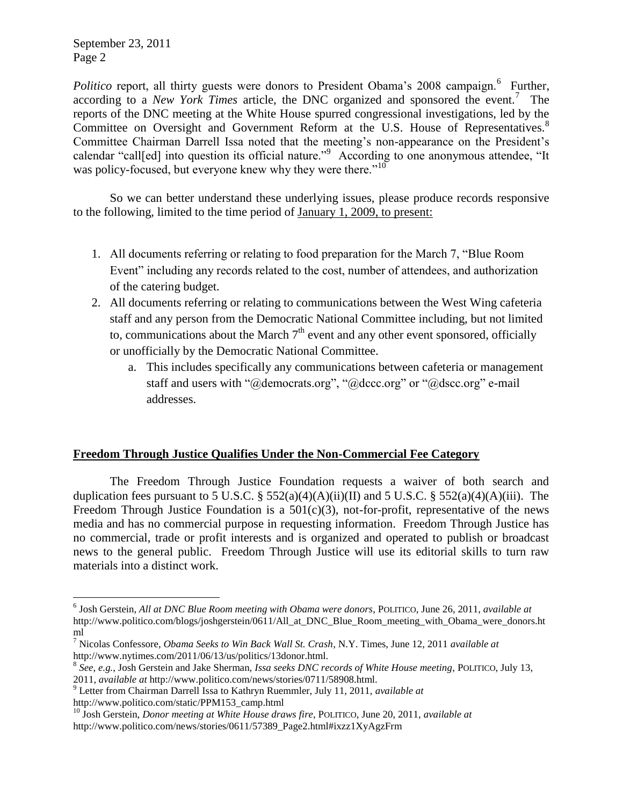September 23, 2011 Page 2

 $\overline{a}$ 

Politico report, all thirty guests were donors to President Obama's 2008 campaign.<sup>6</sup> Further, according to a *New York Times* article, the DNC organized and sponsored the event.<sup>7</sup> The reports of the DNC meeting at the White House spurred congressional investigations, led by the Committee on Oversight and Government Reform at the U.S. House of Representatives.<sup>8</sup> Committee Chairman Darrell Issa noted that the meeting's non-appearance on the President's calendar "call[ed] into question its official nature."<sup>9</sup> According to one anonymous attendee, "It was policy-focused, but everyone knew why they were there."<sup>10</sup>

So we can better understand these underlying issues, please produce records responsive to the following, limited to the time period of January 1, 2009, to present:

- 1. All documents referring or relating to food preparation for the March 7, "Blue Room Event" including any records related to the cost, number of attendees, and authorization of the catering budget.
- 2. All documents referring or relating to communications between the West Wing cafeteria staff and any person from the Democratic National Committee including, but not limited to, communications about the March  $7<sup>th</sup>$  event and any other event sponsored, officially or unofficially by the Democratic National Committee.
	- a. This includes specifically any communications between cafeteria or management staff and users with "@democrats.org", "@dccc.org" or "@dscc.org" e-mail addresses.

# **Freedom Through Justice Qualifies Under the Non-Commercial Fee Category**

The Freedom Through Justice Foundation requests a waiver of both search and duplication fees pursuant to 5 U.S.C. § 552(a)(4)(A)(ii)(II) and 5 U.S.C. § 552(a)(4)(A)(iii). The Freedom Through Justice Foundation is a  $501(c)(3)$ , not-for-profit, representative of the news media and has no commercial purpose in requesting information. Freedom Through Justice has no commercial, trade or profit interests and is organized and operated to publish or broadcast news to the general public. Freedom Through Justice will use its editorial skills to turn raw materials into a distinct work.

<sup>6</sup> Josh Gerstein, *All at DNC Blue Room meeting with Obama were donors*, POLITICO, June 26, 2011, *available at* http://www.politico.com/blogs/joshgerstein/0611/All\_at\_DNC\_Blue\_Room\_meeting\_with\_Obama\_were\_donors.ht ml

<sup>7</sup> Nicolas Confessore, *Obama Seeks to Win Back Wall St. Crash*, N.Y. Times, June 12, 2011 *available at* http://www.nytimes.com/2011/06/13/us/politics/13donor.html.

<sup>8</sup> *See*, *e.g.*, Josh Gerstein and Jake Sherman, *Issa seeks DNC records of White House meeting*, POLITICO, July 13,

<sup>2011,</sup> *available at* http://www.politico.com/news/stories/0711/58908.html.

<sup>9</sup> Letter from Chairman Darrell Issa to Kathryn Ruemmler, July 11, 2011, *available at* http://www.politico.com/static/PPM153\_camp.html

<sup>10</sup> Josh Gerstein, *Donor meeting at White House draws fire*, POLITICO, June 20, 2011, *available at* http://www.politico.com/news/stories/0611/57389\_Page2.html#ixzz1XyAgzFrm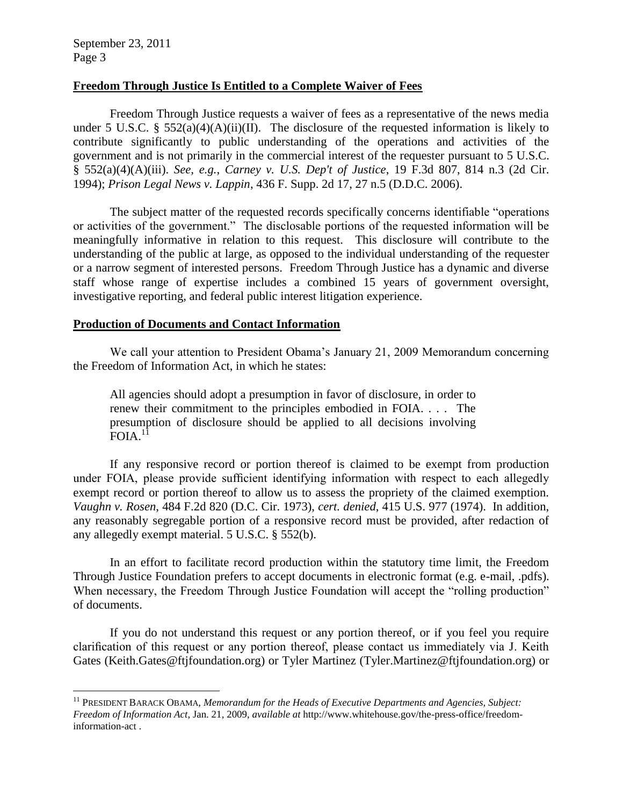$\overline{a}$ 

# **Freedom Through Justice Is Entitled to a Complete Waiver of Fees**

Freedom Through Justice requests a waiver of fees as a representative of the news media under 5 U.S.C. § 552(a)(4)(A)(ii)(II). The disclosure of the requested information is likely to contribute significantly to public understanding of the operations and activities of the government and is not primarily in the commercial interest of the requester pursuant to 5 U.S.C. § 552(a)(4)(A)(iii). *See, e.g.*, *Carney v. U.S. Dep't of Justice*, 19 F.3d 807, 814 n.3 (2d Cir. 1994); *Prison Legal News v. Lappin*, 436 F. Supp. 2d 17, 27 n.5 (D.D.C. 2006).

The subject matter of the requested records specifically concerns identifiable "operations or activities of the government." The disclosable portions of the requested information will be meaningfully informative in relation to this request. This disclosure will contribute to the understanding of the public at large, as opposed to the individual understanding of the requester or a narrow segment of interested persons. Freedom Through Justice has a dynamic and diverse staff whose range of expertise includes a combined 15 years of government oversight, investigative reporting, and federal public interest litigation experience.

# **Production of Documents and Contact Information**

We call your attention to President Obama's January 21, 2009 Memorandum concerning the Freedom of Information Act, in which he states:

All agencies should adopt a presumption in favor of disclosure, in order to renew their commitment to the principles embodied in FOIA. . . . The presumption of disclosure should be applied to all decisions involving FOIA.<sup>11</sup>

If any responsive record or portion thereof is claimed to be exempt from production under FOIA, please provide sufficient identifying information with respect to each allegedly exempt record or portion thereof to allow us to assess the propriety of the claimed exemption. *Vaughn v. Rosen*, 484 F.2d 820 (D.C. Cir. 1973), *cert. denied*, 415 U.S. 977 (1974). In addition, any reasonably segregable portion of a responsive record must be provided, after redaction of any allegedly exempt material. 5 U.S.C. § 552(b).

In an effort to facilitate record production within the statutory time limit, the Freedom Through Justice Foundation prefers to accept documents in electronic format (e.g. e-mail, .pdfs). When necessary, the Freedom Through Justice Foundation will accept the "rolling production" of documents.

If you do not understand this request or any portion thereof, or if you feel you require clarification of this request or any portion thereof, please contact us immediately via J. Keith Gates (Keith.Gates@ftjfoundation.org) or Tyler Martinez (Tyler.Martinez@ftjfoundation.org) or

<sup>&</sup>lt;sup>11</sup> PRESIDENT BARACK OBAMA, *Memorandum for the Heads of Executive Departments and Agencies, Subject: Freedom of Information Act*, Jan. 21, 2009, *available at* http://www.whitehouse.gov/the-press-office/freedominformation-act .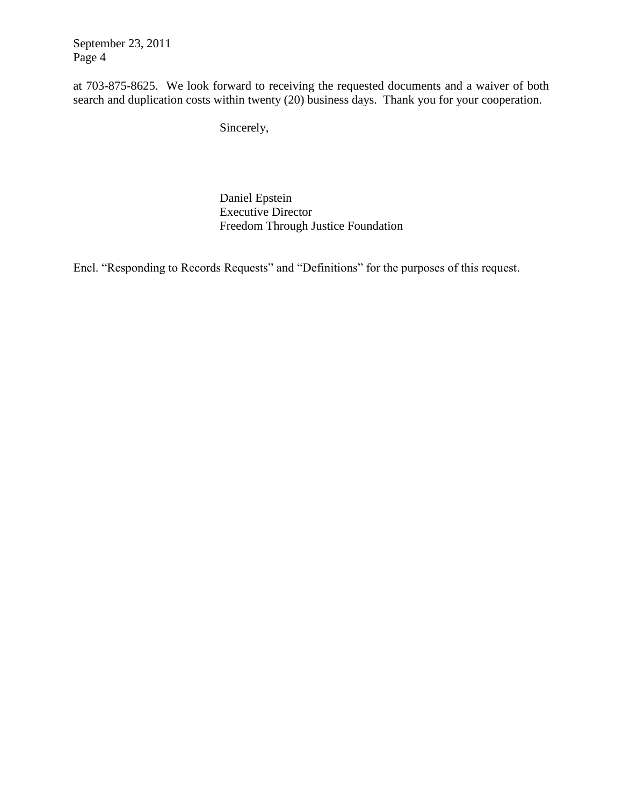September 23, 2011 Page 4

at 703-875-8625. We look forward to receiving the requested documents and a waiver of both search and duplication costs within twenty (20) business days. Thank you for your cooperation.

Sincerely,

Daniel Epstein Executive Director Freedom Through Justice Foundation

Encl. "Responding to Records Requests" and "Definitions" for the purposes of this request.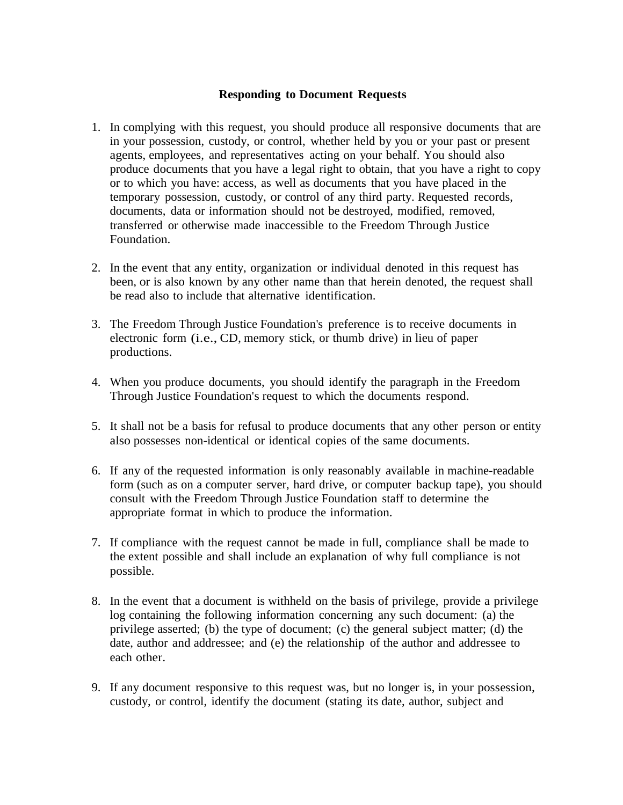# **Responding to Document Requests**

- 1. In complying with this request, you should produce all responsive documents that are in your possession, custody, or control, whether held by you or your past or present agents, employees, and representatives acting on your behalf. You should also produce documents that you have a legal right to obtain, that you have a right to copy or to which you have: access, as well as documents that you have placed in the temporary possession, custody, or control of any third party. Requested records, documents, data or information should not be destroyed, modified, removed, transferred or otherwise made inaccessible to the Freedom Through Justice Foundation.
- 2. In the event that any entity, organization or individual denoted in this request has been, or is also known by any other name than that herein denoted, the request shall be read also to include that alternative identification.
- 3. The Freedom Through Justice Foundation's preference is to receive documents in electronic form (i.e., CD, memory stick, or thumb drive) in lieu of paper productions.
- 4. When you produce documents, you should identify the paragraph in the Freedom Through Justice Foundation's request to which the documents respond.
- 5. It shall not be a basis for refusal to produce documents that any other person or entity also possesses non-identical or identical copies of the same documents.
- 6. If any of the requested information is only reasonably available in machine-readable form (such as on a computer server, hard drive, or computer backup tape), you should consult with the Freedom Through Justice Foundation staff to determine the appropriate format in which to produce the information.
- 7. If compliance with the request cannot be made in full, compliance shall be made to the extent possible and shall include an explanation of why full compliance is not possible.
- 8. In the event that a document is withheld on the basis of privilege, provide a privilege log containing the following information concerning any such document: (a) the privilege asserted; (b) the type of document; (c) the general subject matter; (d) the date, author and addressee; and (e) the relationship of the author and addressee to each other.
- 9. If any document responsive to this request was, but no longer is, in your possession, custody, or control, identify the document (stating its date, author, subject and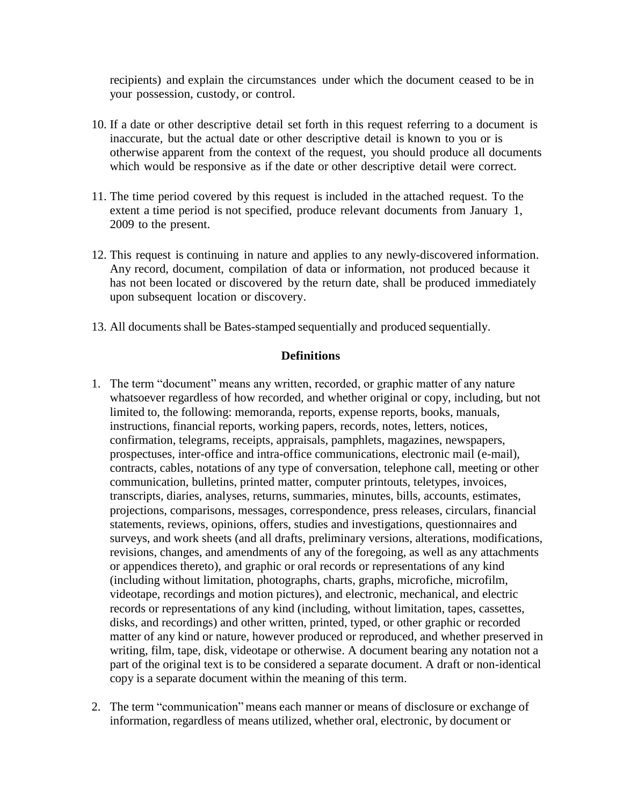recipients) and explain the circumstances under which the document ceased to be in your possession, custody, or control.

- 10. If a date or other descriptive detail set forth in this request referring to a document is inaccurate, but the actual date or other descriptive detail is known to you or is otherwise apparent from the context of the request, you should produce all documents which would be responsive as if the date or other descriptive detail were correct.
- 11. The time period covered by this request is included in the attached request. To the extent a time period is not specified, produce relevant documents from January 1, 2009 to the present.
- 12. This request is continuing in nature and applies to any newly-discovered information. Any record, document, compilation of data or information, not produced because it has not been located or discovered by the return date, shall be produced immediately upon subsequent location or discovery.
- 13. All documents shall be Bates-stamped sequentially and produced sequentially.

#### **Definitions**

- 1. The term "document" means any written, recorded, or graphic matter of any nature whatsoever regardless of how recorded, and whether original or copy, including, but not limited to, the following: memoranda, reports, expense reports, books, manuals, instructions, financial reports, working papers, records, notes, letters, notices, confirmation, telegrams, receipts, appraisals, pamphlets, magazines, newspapers, prospectuses, inter-office and intra-office communications, electronic mail (e-mail), contracts, cables, notations of any type of conversation, telephone call, meeting or other communication, bulletins, printed matter, computer printouts, teletypes, invoices, transcripts, diaries, analyses, returns, summaries, minutes, bills, accounts, estimates, projections, comparisons, messages, correspondence, press releases, circulars, financial statements, reviews, opinions, offers, studies and investigations, questionnaires and surveys, and work sheets (and all drafts, preliminary versions, alterations, modifications, revisions, changes, and amendments of any of the foregoing, as well as any attachments or appendices thereto), and graphic or oral records or representations of any kind (including without limitation, photographs, charts, graphs, microfiche, microfilm, videotape, recordings and motion pictures), and electronic, mechanical, and electric records or representations of any kind (including, without limitation, tapes, cassettes, disks, and recordings) and other written, printed, typed, or other graphic or recorded matter of any kind or nature, however produced or reproduced, and whether preserved in writing, film, tape, disk, videotape or otherwise. A document bearing any notation not a part of the original text is to be considered a separate document. A draft or non-identical copy is a separate document within the meaning of this term.
- 2. The term "communication" means each manner or means of disclosure or exchange of information, regardless of means utilized, whether oral, electronic, by document or